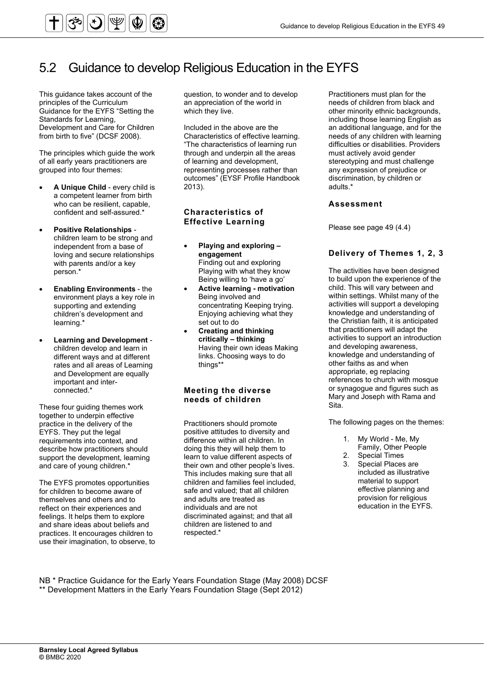

### 5.2 Guidance to develop Religious Education in the EYFS

This guidance takes account of the principles of the Curriculum Guidance for the EYFS "Setting the Standards for Learning, Development and Care for Children from birth to five" (DCSF 2008).

The principles which guide the work of all early years practitioners are grouped into four themes:

- **A Unique Child** every child is a competent learner from birth who can be resilient, capable, confident and self-assured.\*
- **Positive Relationships** children learn to be strong and independent from a base of loving and secure relationships with parents and/or a key person.\*
- **Enabling Environments** the environment plays a key role in supporting and extending children's development and learning.\*
- **Learning and Development** children develop and learn in different ways and at different rates and all areas of Learning and Development are equally important and interconnected.\*

These four guiding themes work together to underpin effective practice in the delivery of the EYFS. They put the legal requirements into context, and describe how practitioners should support the development, learning and care of young children.\*

The EYFS promotes opportunities for children to become aware of themselves and others and to reflect on their experiences and feelings. It helps them to explore and share ideas about beliefs and practices. It encourages children to use their imagination, to observe, to question, to wonder and to develop an appreciation of the world in which they live.

Included in the above are the Characteristics of effective learning. "The characteristics of learning run through and underpin all the areas of learning and development, representing processes rather than outcomes" (EYSF Profile Handbook 2013).

#### **Characteristics of Effective Learning**

- **Playing and exploring engagement** Finding out and exploring Playing with what they know Being willing to 'have a go'
- **Active learning motivation** Being involved and concentrating Keeping trying. Enjoying achieving what they set out to do
- **Creating and thinking critically – thinking** Having their own ideas Making links. Choosing ways to do things\*\*

#### **Meeting the diverse needs of children**

Practitioners should promote positive attitudes to diversity and difference within all children. In doing this they will help them to learn to value different aspects of their own and other people's lives. This includes making sure that all children and families feel included, safe and valued; that all children and adults are treated as individuals and are not discriminated against; and that all children are listened to and respected.\*

Practitioners must plan for the needs of children from black and other minority ethnic backgrounds, including those learning English as an additional language, and for the needs of any children with learning difficulties or disabilities. Providers must actively avoid gender stereotyping and must challenge any expression of prejudice or discrimination, by children or adults.\*

#### **Assessment**

Please see page 49 (4.4)

#### **Delivery of Themes 1, 2, 3**

The activities have been designed to build upon the experience of the child. This will vary between and within settings. Whilst many of the activities will support a developing knowledge and understanding of the Christian faith, it is anticipated that practitioners will adapt the activities to support an introduction and developing awareness, knowledge and understanding of other faiths as and when appropriate, eg replacing references to church with mosque or synagogue and figures such as Mary and Joseph with Rama and Sita.

The following pages on the themes:

- 1. My World Me, My
- Family, Other People
- 2. Special Times<br>3. Special Places Special Places are included as illustrative material to support effective planning and provision for religious education in the EYFS.

NB \* Practice Guidance for the Early Years Foundation Stage (May 2008) DCSF \*\* Development Matters in the Early Years Foundation Stage (Sept 2012)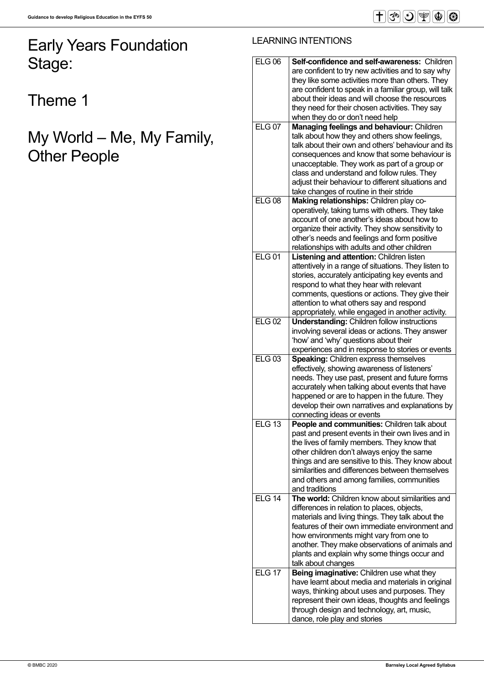## Early Years Foundation Stage:

Theme 1

## My World – Me, My Family, Other People

### LEARNING INTENTIONS

| <b>ELG 06</b>     |                                                                            |
|-------------------|----------------------------------------------------------------------------|
|                   | <b>Self-confidence and self-awareness: Children</b>                        |
|                   | are confident to try new activities and to say why                         |
|                   | they like some activities more than others. They                           |
|                   | are confident to speak in a familiar group, will talk                      |
|                   | about their ideas and will choose the resources                            |
|                   |                                                                            |
|                   | they need for their chosen activities. They say                            |
|                   | when they do or don't need help                                            |
| ELG <sub>07</sub> | Managing feelings and behaviour: Children                                  |
|                   | talk about how they and others show feelings,                              |
|                   | talk about their own and others' behaviour and its                         |
|                   |                                                                            |
|                   | consequences and know that some behaviour is                               |
|                   | unacceptable. They work as part of a group or                              |
|                   | class and understand and follow rules. They                                |
|                   | adjust their behaviour to different situations and                         |
|                   | take changes of routine in their stride                                    |
|                   |                                                                            |
| <b>ELG 08</b>     | Making relationships: Children play co-                                    |
|                   | operatively, taking turns with others. They take                           |
|                   | account of one another's ideas about how to                                |
|                   | organize their activity. They show sensitivity to                          |
|                   | other's needs and feelings and form positive                               |
|                   | relationships with adults and other children                               |
|                   |                                                                            |
| <b>ELG01</b>      | Listening and attention: Children listen                                   |
|                   | attentively in a range of situations. They listen to                       |
|                   | stories, accurately anticipating key events and                            |
|                   | respond to what they hear with relevant                                    |
|                   | comments, questions or actions. They give their                            |
|                   |                                                                            |
|                   | attention to what others say and respond                                   |
|                   | appropriately, while engaged in another activity.                          |
| <b>ELG 02</b>     | <b>Understanding: Children follow instructions</b>                         |
|                   | involving several ideas or actions. They answer                            |
|                   | 'how' and 'why' questions about their                                      |
|                   | experiences and in response to stories or events                           |
| <b>ELG 03</b>     | <b>Speaking: Children express themselves</b>                               |
|                   |                                                                            |
|                   | effectively, showing awareness of listeners'                               |
|                   | needs. They use past, present and future forms                             |
|                   | accurately when talking about events that have                             |
|                   |                                                                            |
|                   | happened or are to happen in the future. They                              |
|                   |                                                                            |
|                   | develop their own narratives and explanations by                           |
|                   | connecting ideas or events                                                 |
| <b>ELG 13</b>     | People and communities: Children talk about                                |
|                   | past and present events in their own lives and in                          |
|                   | the lives of family members. They know that                                |
|                   | other children don't always enjoy the same                                 |
|                   |                                                                            |
|                   | things and are sensitive to this. They know about                          |
|                   | similarities and differences between themselves                            |
|                   | and others and among families, communities                                 |
|                   | and traditions                                                             |
| <b>ELG 14</b>     | <b>The world:</b> Children know about similarities and                     |
|                   | differences in relation to places, objects,                                |
|                   | materials and living things. They talk about the                           |
|                   |                                                                            |
|                   | features of their own immediate environment and                            |
|                   | how environments might vary from one to                                    |
|                   | another. They make observations of animals and                             |
|                   | plants and explain why some things occur and                               |
|                   | talk about changes                                                         |
| <b>ELG 17</b>     | Being imaginative: Children use what they                                  |
|                   |                                                                            |
|                   | have learnt about media and materials in original                          |
|                   | ways, thinking about uses and purposes. They                               |
|                   | represent their own ideas, thoughts and feelings                           |
|                   | through design and technology, art, music,<br>dance, role play and stories |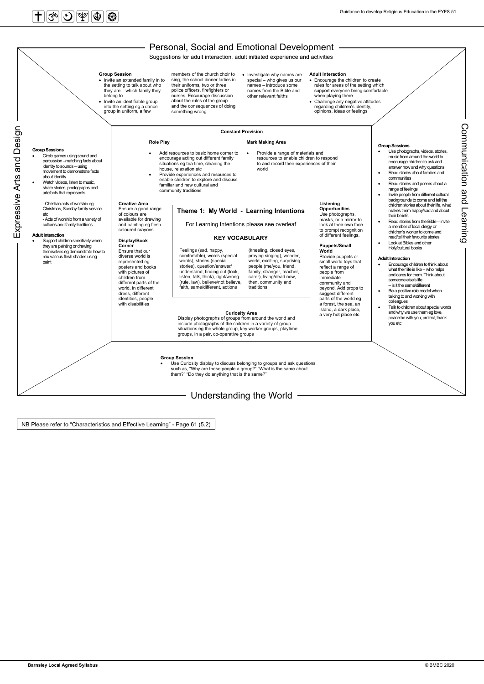## $\textcolor{red}{\textbf{H}}$ ြီး $\textcolor{blue}{\textbf{S}}$



NB Please refer to "Characteristics and Effective Learning" - Page 61 (5.2)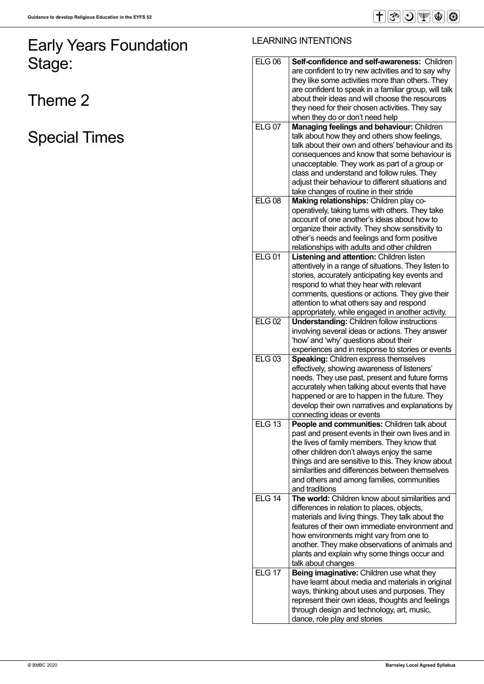# Early Years Foundation Stage:

Theme 2

Special Times

### LEARNING INTENTIONS

| <b>ELG 06</b> | <b>Self-confidence and self-awareness: Children</b>                        |
|---------------|----------------------------------------------------------------------------|
|               | are confident to try new activities and to say why                         |
|               | they like some activities more than others. They                           |
|               | are confident to speak in a familiar group, will talk                      |
|               | about their ideas and will choose the resources                            |
|               | they need for their chosen activities. They say                            |
|               | when they do or don't need help                                            |
| <b>ELG 07</b> |                                                                            |
|               | <b>Managing feelings and behaviour: Children</b>                           |
|               | talk about how they and others show feelings,                              |
|               | talk about their own and others' behaviour and its                         |
|               | consequences and know that some behaviour is                               |
|               | unacceptable. They work as part of a group or                              |
|               | class and understand and follow rules. They                                |
|               | adjust their behaviour to different situations and                         |
|               | take changes of routine in their stride                                    |
| <b>ELG 08</b> | Making relationships: Children play co-                                    |
|               | operatively, taking turns with others. They take                           |
|               | account of one another's ideas about how to                                |
|               | organize their activity. They show sensitivity to                          |
|               | other's needs and feelings and form positive                               |
|               | relationships with adults and other children                               |
| <b>ELG01</b>  | <b>Listening and attention: Children listen</b>                            |
|               | attentively in a range of situations. They listen to                       |
|               | stories, accurately anticipating key events and                            |
|               | respond to what they hear with relevant                                    |
|               | comments, questions or actions. They give their                            |
|               | attention to what others say and respond                                   |
|               | appropriately, while engaged in another activity.                          |
| <b>ELG 02</b> | <b>Understanding: Children follow instructions</b>                         |
|               | involving several ideas or actions. They answer                            |
|               | 'how' and 'why' questions about their                                      |
|               | experiences and in response to stories or events                           |
| <b>ELG 03</b> | <b>Speaking: Children express themselves</b>                               |
|               | effectively, showing awareness of listeners'                               |
|               | needs. They use past, present and future forms                             |
|               | accurately when talking about events that have                             |
|               | happened or are to happen in the future. They                              |
|               | develop their own narratives and explanations by                           |
|               | connecting ideas or events                                                 |
| <b>ELG 13</b> | People and communities: Children talk about                                |
|               | past and present events in their own lives and in                          |
|               | the lives of family members. They know that                                |
|               | other children don't always enjoy the same                                 |
|               | things and are sensitive to this. They know about                          |
|               | similarities and differences between themselves                            |
|               | and others and among families, communities                                 |
|               | and traditions                                                             |
| <b>ELG 14</b> | <b>The world:</b> Children know about similarities and                     |
|               | differences in relation to places, objects,                                |
|               | materials and living things. They talk about the                           |
|               | features of their own immediate environment and                            |
|               | how environments might vary from one to                                    |
|               | another. They make observations of animals and                             |
|               | plants and explain why some things occur and                               |
|               | talk about changes                                                         |
| <b>ELG 17</b> | Being imaginative: Children use what they                                  |
|               |                                                                            |
|               |                                                                            |
|               | have learnt about media and materials in original                          |
|               | ways, thinking about uses and purposes. They                               |
|               | represent their own ideas, thoughts and feelings                           |
|               | through design and technology, art, music,<br>dance, role play and stories |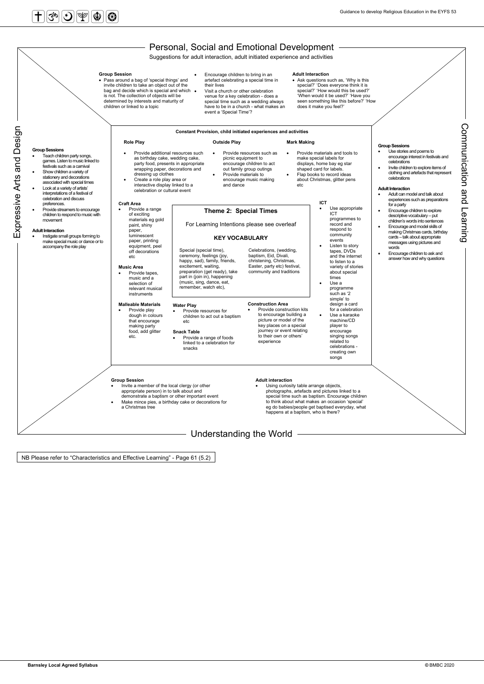

NB Please refer to "Characteristics and Effective Learning" - Page 61 (5.2)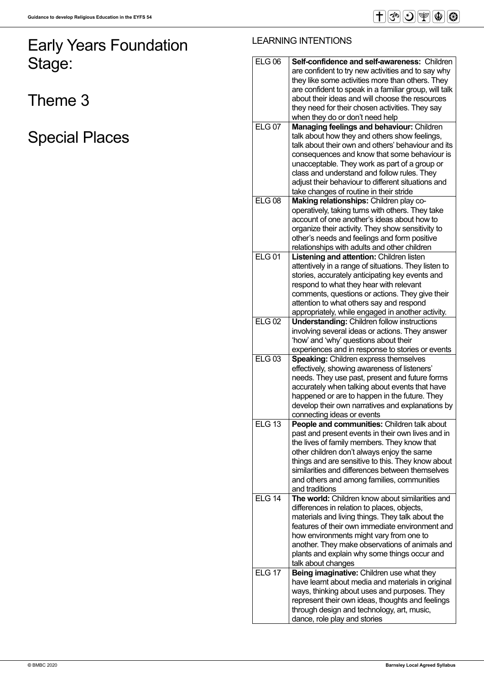# Early Years Foundation Stage:

Theme 3

Special Places

### LEARNING INTENTIONS

| <b>ELG 06</b> | <b>Self-confidence and self-awareness: Children</b>                                            |
|---------------|------------------------------------------------------------------------------------------------|
|               | are confident to try new activities and to say why                                             |
|               | they like some activities more than others. They                                               |
|               | are confident to speak in a familiar group, will talk                                          |
|               | about their ideas and will choose the resources                                                |
|               |                                                                                                |
|               | they need for their chosen activities. They say                                                |
|               | when they do or don't need help                                                                |
| <b>ELG 07</b> | <b>Managing feelings and behaviour: Children</b>                                               |
|               | talk about how they and others show feelings,                                                  |
|               | talk about their own and others' behaviour and its                                             |
|               | consequences and know that some behaviour is                                                   |
|               | unacceptable. They work as part of a group or                                                  |
|               | class and understand and follow rules. They                                                    |
|               | adjust their behaviour to different situations and                                             |
|               | take changes of routine in their stride                                                        |
| <b>ELG 08</b> | Making relationships: Children play co-                                                        |
|               | operatively, taking turns with others. They take                                               |
|               | account of one another's ideas about how to                                                    |
|               | organize their activity. They show sensitivity to                                              |
|               | other's needs and feelings and form positive                                                   |
|               | relationships with adults and other children                                                   |
| <b>ELG01</b>  | <b>Listening and attention: Children listen</b>                                                |
|               | attentively in a range of situations. They listen to                                           |
|               | stories, accurately anticipating key events and                                                |
|               | respond to what they hear with relevant                                                        |
|               | comments, questions or actions. They give their                                                |
|               | attention to what others say and respond                                                       |
|               | appropriately, while engaged in another activity.                                              |
| <b>ELG 02</b> | <b>Understanding: Children follow instructions</b>                                             |
|               | involving several ideas or actions. They answer                                                |
|               | 'how' and 'why' questions about their                                                          |
|               |                                                                                                |
|               | experiences and in response to stories or events                                               |
| <b>ELG 03</b> | <b>Speaking: Children express themselves</b>                                                   |
|               | effectively, showing awareness of listeners'                                                   |
|               | needs. They use past, present and future forms                                                 |
|               | accurately when talking about events that have                                                 |
|               | happened or are to happen in the future. They                                                  |
|               | develop their own narratives and explanations by                                               |
|               | connecting ideas or events                                                                     |
| <b>ELG 13</b> | People and communities: Children talk about                                                    |
|               | past and present events in their own lives and in                                              |
|               | the lives of family members. They know that                                                    |
|               | other children don't always enjoy the same                                                     |
|               | things and are sensitive to this. They know about                                              |
|               | similarities and differences between themselves                                                |
|               | and others and among families, communities                                                     |
|               | and traditions                                                                                 |
| <b>ELG 14</b> | <b>The world:</b> Children know about similarities and                                         |
|               | differences in relation to places, objects,                                                    |
|               | materials and living things. They talk about the                                               |
|               | features of their own immediate environment and                                                |
|               | how environments might vary from one to                                                        |
|               | another. They make observations of animals and                                                 |
|               | plants and explain why some things occur and                                                   |
| <b>ELG 17</b> | talk about changes                                                                             |
|               | Being imaginative: Children use what they                                                      |
|               | have learnt about media and materials in original                                              |
|               | ways, thinking about uses and purposes. They                                                   |
|               | represent their own ideas, thoughts and feelings<br>through design and technology, art, music, |